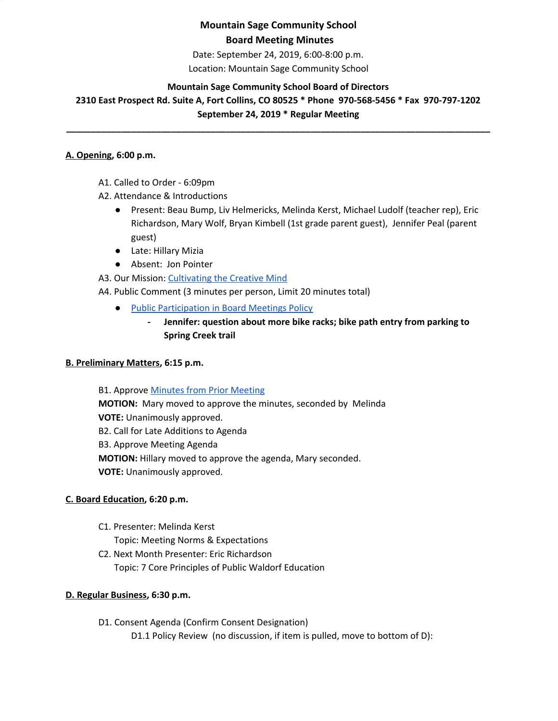# **Mountain Sage Community School Board Meeting Minutes**

Date: September 24, 2019, 6:00-8:00 p.m. Location: Mountain Sage Community School

### **Mountain Sage Community School Board of Directors**

**2310 East Prospect Rd. Suite A, Fort Collins, CO 80525 \* Phone 970-568-5456 \* Fax 970-797-1202 September 24, 2019 \* Regular Meeting**

**\_\_\_\_\_\_\_\_\_\_\_\_\_\_\_\_\_\_\_\_\_\_\_\_\_\_\_\_\_\_\_\_\_\_\_\_\_\_\_\_\_\_\_\_\_\_\_\_\_\_\_\_\_\_\_\_\_\_\_\_\_\_\_\_\_\_\_\_\_\_\_\_\_\_\_\_\_\_\_\_\_\_\_\_\_**

### **A. Opening, 6:00 p.m.**

- A1. Called to Order 6:09pm
- A2. Attendance & Introductions
	- Present: Beau Bump, Liv Helmericks, Melinda Kerst, Michael Ludolf (teacher rep), Eric Richardson, Mary Wolf, Bryan Kimbell (1st grade parent guest), Jennifer Peal (parent guest)
	- Late: Hillary Mizia
	- Absent: Jon Pointer
- A3. Our Mission: [Cultivating](http://www.mountainsage.org/mission-and-vision.html) the Creative Mind
- A4. Public Comment (3 minutes per person, Limit 20 minutes total)
	- Public [Participation](https://docs.google.com/document/d/1gc0LQdyzkk8w7Nxegsq7Pc5SlP84wwAHRijWtk8bn6I/edit) in Board Meetings Policy
		- **- Jennifer: question about more bike racks; bike path entry from parking to Spring Creek trail**

### **B. Preliminary Matters, 6:15 p.m.**

**B1. Approve Minutes from Prior [Meeting](https://drive.google.com/open?id=14YxjBuoC0d-ZsFqHsIYvKkCRxTfQrnW-5iwIVo_r9kU) MOTION:** Mary moved to approve the minutes, seconded by Melinda **VOTE:** Unanimously approved. B2. Call for Late Additions to Agenda B3. Approve Meeting Agenda **MOTION:** Hillary moved to approve the agenda, Mary seconded. **VOTE:** Unanimously approved.

### **C. Board Education, 6:20 p.m.**

- C1. Presenter: Melinda Kerst
	- Topic: Meeting Norms & Expectations
- C2. Next Month Presenter: Eric Richardson Topic: 7 Core Principles of Public Waldorf Education

### **D. Regular Business, 6:30 p.m.**

D1. Consent Agenda (Confirm Consent Designation) D1.1 Policy Review (no discussion, if item is pulled, move to bottom of D):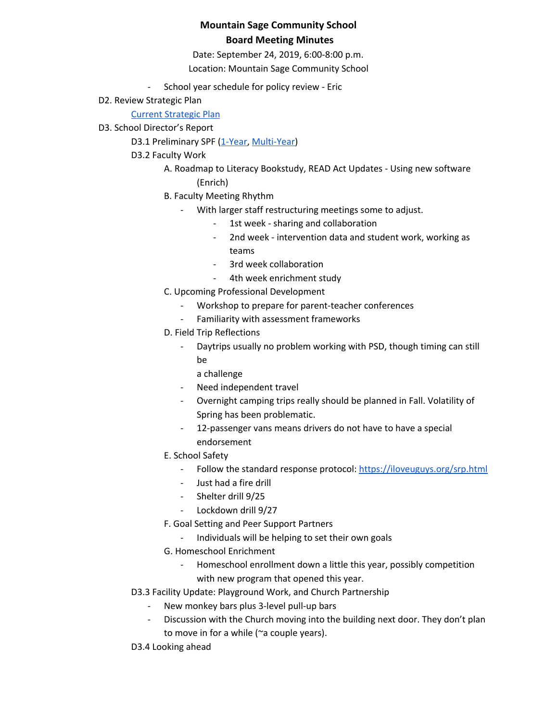# **Mountain Sage Community School Board Meeting Minutes**

Date: September 24, 2019, 6:00-8:00 p.m.

Location: Mountain Sage Community School

- School year schedule for policy review Eric
- D2. Review Strategic Plan

Current [Strategic](https://docs.google.com/spreadsheets/d/1bIEAL8S8NnDx9PPJRR79h1dLsXFMCh-t/edit#gid=925806025) Plan

D3. School Director's Report

D3.1 Preliminary SPF [\(1-Year,](https://drive.google.com/open?id=0BwYnvoGpYgfKWllmTE9rQld2cC1adjRDQWlwNHhfMGRrai0w) [Multi-Year\)](https://drive.google.com/open?id=0BwYnvoGpYgfKdlNvN29PbjdKY3pYNE10Zzc4RVgtS3RjRi1J)

- D3.2 Faculty Work
	- A. Roadmap to Literacy Bookstudy, READ Act Updates Using new software (Enrich)
	- B. Faculty Meeting Rhythm
		- With larger staff restructuring meetings some to adjust.
			- 1st week sharing and collaboration
			- 2nd week intervention data and student work, working as teams
			- 3rd week collaboration
			- 4th week enrichment study
	- C. Upcoming Professional Development
		- Workshop to prepare for parent-teacher conferences
		- Familiarity with assessment frameworks
	- D. Field Trip Reflections
		- Daytrips usually no problem working with PSD, though timing can still be
			- a challenge
		- Need independent travel
		- Overnight camping trips really should be planned in Fall. Volatility of Spring has been problematic.
		- 12-passenger vans means drivers do not have to have a special endorsement
	- E. School Safety
		- Follow the standard response protocol: <https://iloveuguys.org/srp.html>
		- Just had a fire drill
		- Shelter drill 9/25
		- Lockdown drill 9/27
	- F. Goal Setting and Peer Support Partners
		- Individuals will be helping to set their own goals
	- G. Homeschool Enrichment
		- Homeschool enrollment down a little this year, possibly competition with new program that opened this year.
- D3.3 Facility Update: Playground Work, and Church Partnership
	- New monkey bars plus 3-level pull-up bars
	- Discussion with the Church moving into the building next door. They don't plan to move in for a while (~a couple years).
- D3.4 Looking ahead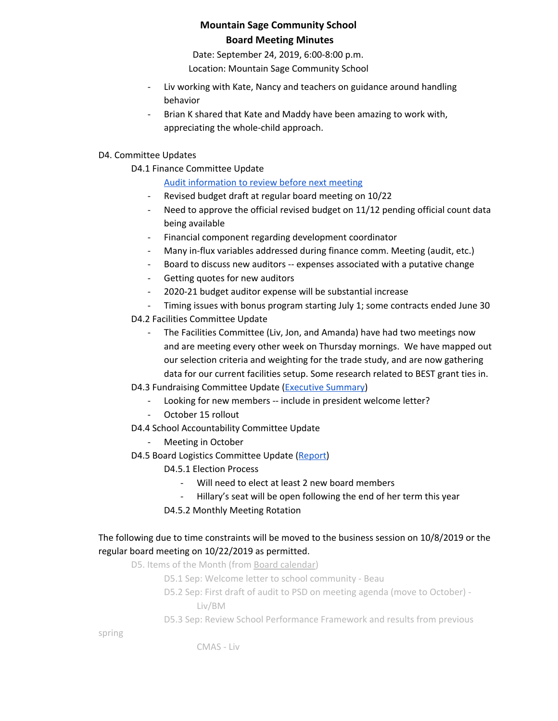# **Mountain Sage Community School Board Meeting Minutes**

Date: September 24, 2019, 6:00-8:00 p.m.

Location: Mountain Sage Community School

- Liv working with Kate, Nancy and teachers on guidance around handling behavior
- Brian K shared that Kate and Maddy have been amazing to work with, appreciating the whole-child approach.

### D4. Committee Updates

D4.1 Finance Committee Update

# Audit [information](https://drive.google.com/open?id=1PuNv0VMvSYMDpclECwSgjHOaFowAtdrS) to review before next meeting

- Revised budget draft at regular board meeting on 10/22
- Need to approve the official revised budget on 11/12 pending official count data being available
- Financial component regarding development coordinator
- Many in-flux variables addressed during finance comm. Meeting (audit, etc.)
- Board to discuss new auditors -- expenses associated with a putative change
- Getting quotes for new auditors
- 2020-21 budget auditor expense will be substantial increase
- Timing issues with bonus program starting July 1; some contracts ended June 30
- D4.2 Facilities Committee Update
	- The Facilities Committee (Liv, Jon, and Amanda) have had two meetings now and are meeting every other week on Thursday mornings. We have mapped out our selection criteria and weighting for the trade study, and are now gathering data for our current facilities setup. Some research related to BEST grant ties in.
- D4.3 Fundraising Committee Update ([Executive](https://docs.google.com/document/d/11zNpRK1kWrs0D_Y685p714xGiXFiWqAnFh176kqVT58/edit?usp=sharing) Summary)
	- Looking for new members -- include in president welcome letter?
	- October 15 rollout
- D4.4 School Accountability Committee Update
	- Meeting in October
- D4.5 Board Logistics Committee Update ([Report](https://docs.google.com/document/d/1Tcl6gDitiMz6msIG8CQ_VLeJQHvwWKMAViFY3QVOOoo/edit?usp=sharing))
	- D4.5.1 Election Process
		- Will need to elect at least 2 new board members
		- Hillary's seat will be open following the end of her term this year
	- D4.5.2 Monthly Meeting Rotation

## The following due to time constraints will be moved to the business session on 10/8/2019 or the regular board meeting on 10/22/2019 as permitted.

D5. Ite[m](https://docs.google.com/document/d/12S6s-qevYMsnj8Cr2yw6uMO7S7hL3gz2oKvXZk5ZndQ/edit)s of the Month (from Board [calendar](https://docs.google.com/document/d/12S6s-qevYMsnj8Cr2yw6uMO7S7hL3gz2oKvXZk5ZndQ/edit))

- D5.1 Sep: Welcome letter to school community Beau
- D5.2 Sep: First draft of audit to PSD on meeting agenda (move to October) Liv/BM
- D5.3 Sep: Review School Performance Framework and results from previous

spring